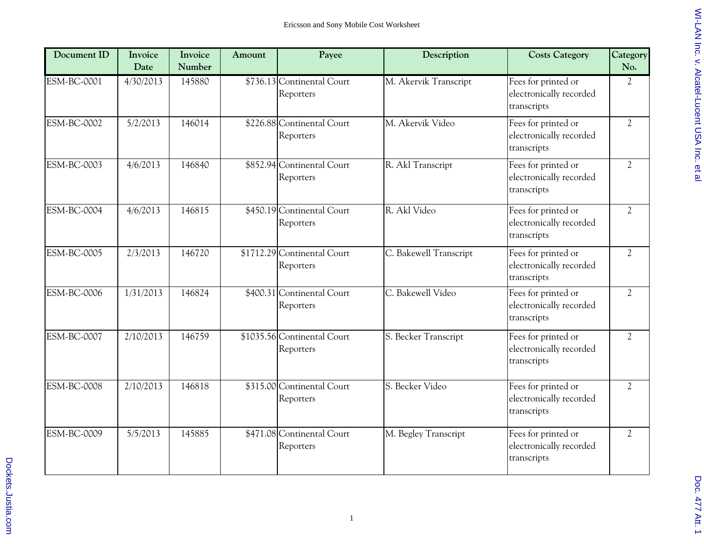| Document ID        | Invoice<br>Date | Invoice<br>Number | Amount | Payee                                    | Description            | <b>Costs Category</b>                                         | Category<br>No. |
|--------------------|-----------------|-------------------|--------|------------------------------------------|------------------------|---------------------------------------------------------------|-----------------|
| ESM-BC-0001        | 4/30/2013       | 145880            |        | \$736.13 Continental Court<br>Reporters  | M. Akervik Transcript  | Fees for printed or<br>electronically recorded<br>transcripts | $\overline{2}$  |
| <b>ESM-BC-0002</b> | 5/2/2013        | 146014            |        | \$226.88 Continental Court<br>Reporters  | M. Akervik Video       | Fees for printed or<br>electronically recorded<br>transcripts | $\overline{2}$  |
| ESM-BC-0003        | 4/6/2013        | 146840            |        | \$852.94 Continental Court<br>Reporters  | R. Akl Transcript      | Fees for printed or<br>electronically recorded<br>transcripts | $\overline{2}$  |
| <b>ESM-BC-0004</b> | 4/6/2013        | 146815            |        | \$450.19 Continental Court<br>Reporters  | R. Akl Video           | Fees for printed or<br>electronically recorded<br>transcripts | $\overline{2}$  |
| <b>ESM-BC-0005</b> | 2/3/2013        | 146720            |        | \$1712.29 Continental Court<br>Reporters | C. Bakewell Transcript | Fees for printed or<br>electronically recorded<br>transcripts | $\overline{c}$  |
| <b>ESM-BC-0006</b> | 1/31/2013       | 146824            |        | \$400.31 Continental Court<br>Reporters  | C. Bakewell Video      | Fees for printed or<br>electronically recorded<br>transcripts | $\overline{2}$  |
| <b>ESM-BC-0007</b> | 2/10/2013       | 146759            |        | \$1035.56 Continental Court<br>Reporters | S. Becker Transcript   | Fees for printed or<br>electronically recorded<br>transcripts | $\overline{2}$  |
| <b>ESM-BC-0008</b> | 2/10/2013       | 146818            |        | \$315.00 Continental Court<br>Reporters  | S. Becker Video        | Fees for printed or<br>electronically recorded<br>transcripts | $\overline{2}$  |
| <b>ESM-BC-0009</b> | 5/5/2013        | 145885            |        | \$471.08 Continental Court<br>Reporters  | M. Begley Transcript   | Fees for printed or<br>electronically recorded<br>transcripts | $\overline{c}$  |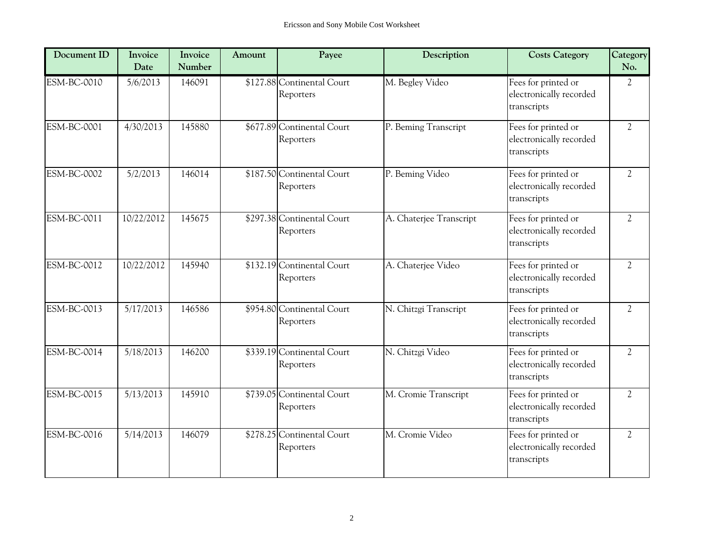| Document ID        | Invoice<br>Date | Invoice<br>Number | Amount | Payee                                   | Description             | <b>Costs Category</b>                                         | Category<br>No. |
|--------------------|-----------------|-------------------|--------|-----------------------------------------|-------------------------|---------------------------------------------------------------|-----------------|
| <b>ESM-BC-0010</b> | 5/6/2013        | 146091            |        | \$127.88 Continental Court<br>Reporters | M. Begley Video         | Fees for printed or<br>electronically recorded<br>transcripts | $\overline{2}$  |
| <b>ESM-BC-0001</b> | 4/30/2013       | 145880            |        | \$677.89 Continental Court<br>Reporters | P. Beming Transcript    | Fees for printed or<br>electronically recorded<br>transcripts | $\overline{2}$  |
| <b>ESM-BC-0002</b> | 5/2/2013        | 146014            |        | \$187.50 Continental Court<br>Reporters | P. Beming Video         | Fees for printed or<br>electronically recorded<br>transcripts | $\overline{2}$  |
| ESM-BC-0011        | 10/22/2012      | 145675            |        | \$297.38 Continental Court<br>Reporters | A. Chaterjee Transcript | Fees for printed or<br>electronically recorded<br>transcripts | $\overline{2}$  |
| $ESM-BC-0012$      | 10/22/2012      | 145940            |        | \$132.19 Continental Court<br>Reporters | A. Chaterjee Video      | Fees for printed or<br>electronically recorded<br>transcripts | $\overline{2}$  |
| <b>ESM-BC-0013</b> | 5/17/2013       | 146586            |        | \$954.80 Continental Court<br>Reporters | N. Chitzgi Transcript   | Fees for printed or<br>electronically recorded<br>transcripts | $\overline{2}$  |
| ESM-BC-0014        | 5/18/2013       | 146200            |        | \$339.19 Continental Court<br>Reporters | N. Chitzgi Video        | Fees for printed or<br>electronically recorded<br>transcripts | $\overline{2}$  |
| <b>ESM-BC-0015</b> | 5/13/2013       | 145910            |        | \$739.05 Continental Court<br>Reporters | M. Cromie Transcript    | Fees for printed or<br>electronically recorded<br>transcripts | $\overline{2}$  |
| ESM-BC-0016        | 5/14/2013       | 146079            |        | \$278.25 Continental Court<br>Reporters | M. Cromie Video         | Fees for printed or<br>electronically recorded<br>transcripts | $\overline{2}$  |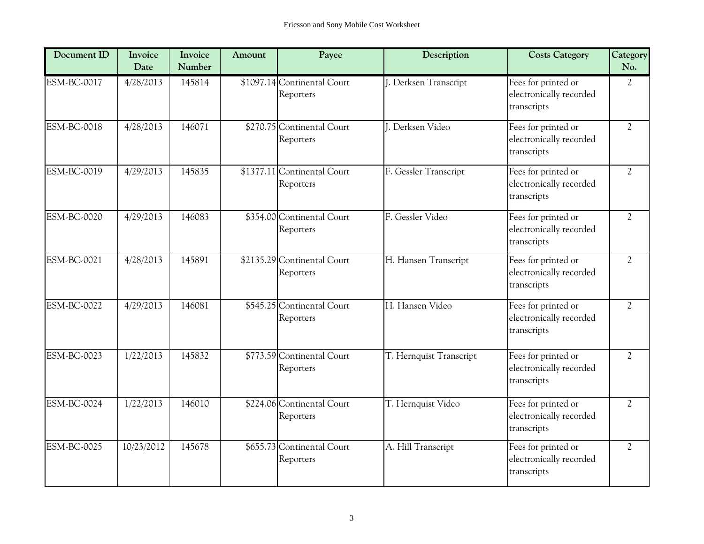| Document ID        | Invoice<br>Date | Invoice<br>Number | Amount | Payee                                    | Description             | <b>Costs Category</b>                                         | Category<br>No. |
|--------------------|-----------------|-------------------|--------|------------------------------------------|-------------------------|---------------------------------------------------------------|-----------------|
| <b>ESM-BC-0017</b> | 4/28/2013       | 145814            |        | \$1097.14 Continental Court<br>Reporters | J. Derksen Transcript   | Fees for printed or<br>electronically recorded<br>transcripts | $\overline{2}$  |
| ESM-BC-0018        | 4/28/2013       | 146071            |        | \$270.75 Continental Court<br>Reporters  | J. Derksen Video        | Fees for printed or<br>electronically recorded<br>transcripts | $\overline{2}$  |
| ESM-BC-0019        | 4/29/2013       | 145835            |        | \$1377.11 Continental Court<br>Reporters | F. Gessler Transcript   | Fees for printed or<br>electronically recorded<br>transcripts | $\overline{2}$  |
| <b>ESM-BC-0020</b> | 4/29/2013       | 146083            |        | \$354.00 Continental Court<br>Reporters  | F. Gessler Video        | Fees for printed or<br>electronically recorded<br>transcripts | $\overline{2}$  |
| ESM-BC-0021        | 4/28/2013       | 145891            |        | \$2135.29 Continental Court<br>Reporters | H. Hansen Transcript    | Fees for printed or<br>electronically recorded<br>transcripts | $\overline{2}$  |
| <b>ESM-BC-0022</b> | 4/29/2013       | 146081            |        | \$545.25 Continental Court<br>Reporters  | H. Hansen Video         | Fees for printed or<br>electronically recorded<br>transcripts | $\overline{2}$  |
| <b>ESM-BC-0023</b> | 1/22/2013       | 145832            |        | \$773.59 Continental Court<br>Reporters  | T. Hernquist Transcript | Fees for printed or<br>electronically recorded<br>transcripts | $\overline{2}$  |
| <b>ESM-BC-0024</b> | 1/22/2013       | 146010            |        | \$224.06 Continental Court<br>Reporters  | T. Hernquist Video      | Fees for printed or<br>electronically recorded<br>transcripts | $\overline{2}$  |
| <b>ESM-BC-0025</b> | 10/23/2012      | 145678            |        | \$655.73 Continental Court<br>Reporters  | A. Hill Transcript      | Fees for printed or<br>electronically recorded<br>transcripts | $\overline{2}$  |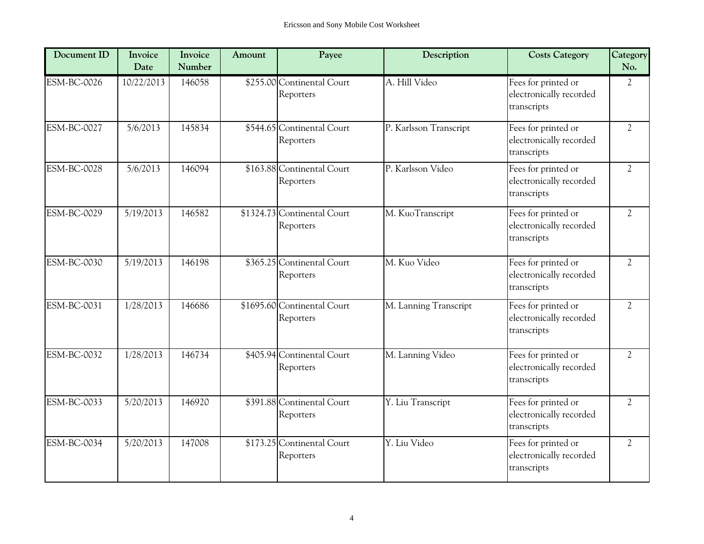| Document ID        | Invoice<br>Date | Invoice<br>Number | Amount | Payee                                    | Description            | <b>Costs Category</b>                                         | Category<br>No. |
|--------------------|-----------------|-------------------|--------|------------------------------------------|------------------------|---------------------------------------------------------------|-----------------|
| <b>ESM-BC-0026</b> | 10/22/2013      | 146058            |        | \$255.00 Continental Court<br>Reporters  | A. Hill Video          | Fees for printed or<br>electronically recorded<br>transcripts | $\overline{2}$  |
| <b>ESM-BC-0027</b> | 5/6/2013        | 145834            |        | \$544.65 Continental Court<br>Reporters  | P. Karlsson Transcript | Fees for printed or<br>electronically recorded<br>transcripts | $\overline{2}$  |
| <b>ESM-BC-0028</b> | 5/6/2013        | 146094            |        | \$163.88 Continental Court<br>Reporters  | P. Karlsson Video      | Fees for printed or<br>electronically recorded<br>transcripts | $\overline{2}$  |
| <b>ESM-BC-0029</b> | 5/19/2013       | 146582            |        | \$1324.73 Continental Court<br>Reporters | M. KuoTranscript       | Fees for printed or<br>electronically recorded<br>transcripts | $\overline{2}$  |
| <b>ESM-BC-0030</b> | 5/19/2013       | 146198            |        | \$365.25 Continental Court<br>Reporters  | M. Kuo Video           | Fees for printed or<br>electronically recorded<br>transcripts | $\overline{2}$  |
| <b>ESM-BC-0031</b> | 1/28/2013       | 146686            |        | \$1695.60 Continental Court<br>Reporters | M. Lanning Transcript  | Fees for printed or<br>electronically recorded<br>transcripts | $\overline{2}$  |
| ESM-BC-0032        | 1/28/2013       | 146734            |        | \$405.94 Continental Court<br>Reporters  | M. Lanning Video       | Fees for printed or<br>electronically recorded<br>transcripts | $\overline{2}$  |
| <b>ESM-BC-0033</b> | 5/20/2013       | 146920            |        | \$391.88 Continental Court<br>Reporters  | Y. Liu Transcript      | Fees for printed or<br>electronically recorded<br>transcripts | $\overline{2}$  |
| <b>ESM-BC-0034</b> | 5/20/2013       | 147008            |        | \$173.25 Continental Court<br>Reporters  | Y. Liu Video           | Fees for printed or<br>electronically recorded<br>transcripts | $\overline{2}$  |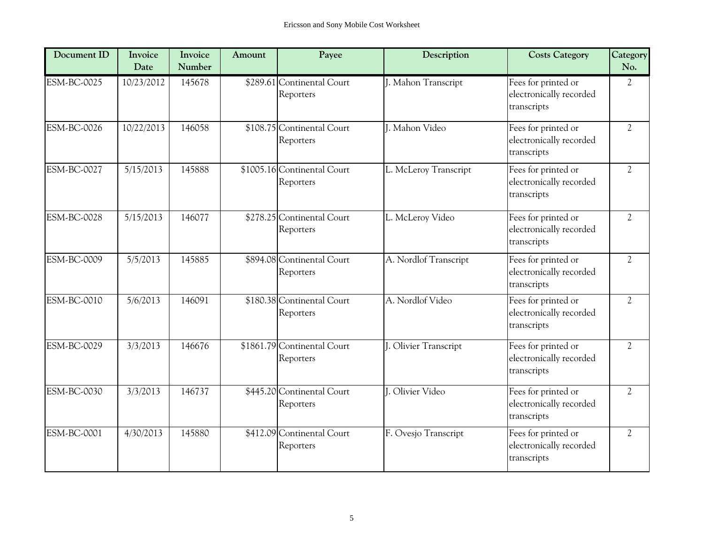| Document ID        | Invoice<br>Date | Invoice<br>Number | Amount | Payee                                    | Description           | <b>Costs Category</b>                                         | Category<br>No. |
|--------------------|-----------------|-------------------|--------|------------------------------------------|-----------------------|---------------------------------------------------------------|-----------------|
| <b>ESM-BC-0025</b> | 10/23/2012      | 145678            |        | \$289.61 Continental Court<br>Reporters  | J. Mahon Transcript   | Fees for printed or<br>electronically recorded<br>transcripts | $\overline{2}$  |
| <b>ESM-BC-0026</b> | 10/22/2013      | 146058            |        | \$108.75 Continental Court<br>Reporters  | J. Mahon Video        | Fees for printed or<br>electronically recorded<br>transcripts | $\overline{2}$  |
| <b>ESM-BC-0027</b> | 5/15/2013       | 145888            |        | \$1005.16 Continental Court<br>Reporters | L. McLeroy Transcript | Fees for printed or<br>electronically recorded<br>transcripts | $\overline{2}$  |
| <b>ESM-BC-0028</b> | 5/15/2013       | 146077            |        | \$278.25 Continental Court<br>Reporters  | L. McLeroy Video      | Fees for printed or<br>electronically recorded<br>transcripts | $\overline{2}$  |
| <b>ESM-BC-0009</b> | 5/5/2013        | 145885            |        | \$894.08 Continental Court<br>Reporters  | A. Nordlof Transcript | Fees for printed or<br>electronically recorded<br>transcripts | $\overline{2}$  |
| <b>ESM-BC-0010</b> | 5/6/2013        | 146091            |        | \$180.38 Continental Court<br>Reporters  | A. Nordlof Video      | Fees for printed or<br>electronically recorded<br>transcripts | $\overline{2}$  |
| <b>ESM-BC-0029</b> | 3/3/2013        | 146676            |        | \$1861.79 Continental Court<br>Reporters | J. Olivier Transcript | Fees for printed or<br>electronically recorded<br>transcripts | $\overline{2}$  |
| <b>ESM-BC-0030</b> | 3/3/2013        | 146737            |        | \$445.20 Continental Court<br>Reporters  | J. Olivier Video      | Fees for printed or<br>electronically recorded<br>transcripts | $\overline{2}$  |
| <b>ESM-BC-0001</b> | 4/30/2013       | 145880            |        | \$412.09 Continental Court<br>Reporters  | F. Ovesjo Transcript  | Fees for printed or<br>electronically recorded<br>transcripts | $\overline{2}$  |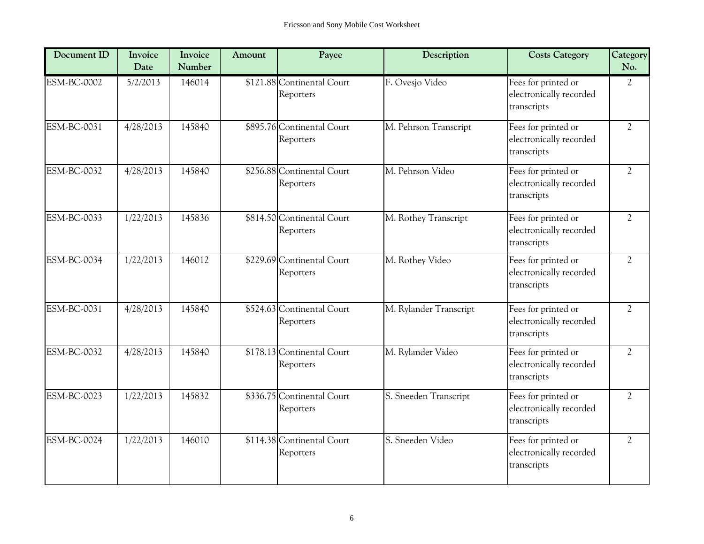| Document ID        | Invoice<br>Date | Invoice<br>Number | Amount | Payee                                   | Description            | <b>Costs Category</b>                                         | Category<br>No. |
|--------------------|-----------------|-------------------|--------|-----------------------------------------|------------------------|---------------------------------------------------------------|-----------------|
| <b>ESM-BC-0002</b> | 5/2/2013        | 146014            |        | \$121.88 Continental Court<br>Reporters | F. Ovesjo Video        | Fees for printed or<br>electronically recorded<br>transcripts | $\overline{2}$  |
| <b>ESM-BC-0031</b> | 4/28/2013       | 145840            |        | \$895.76 Continental Court<br>Reporters | M. Pehrson Transcript  | Fees for printed or<br>electronically recorded<br>transcripts | $\overline{2}$  |
| <b>ESM-BC-0032</b> | 4/28/2013       | 145840            |        | \$256.88 Continental Court<br>Reporters | M. Pehrson Video       | Fees for printed or<br>electronically recorded<br>transcripts | $\overline{2}$  |
| ESM-BC-0033        | 1/22/2013       | 145836            |        | \$814.50 Continental Court<br>Reporters | M. Rothey Transcript   | Fees for printed or<br>electronically recorded<br>transcripts | $\overline{2}$  |
| <b>ESM-BC-0034</b> | 1/22/2013       | 146012            |        | \$229.69 Continental Court<br>Reporters | M. Rothey Video        | Fees for printed or<br>electronically recorded<br>transcripts | $\overline{2}$  |
| <b>ESM-BC-0031</b> | 4/28/2013       | 145840            |        | \$524.63 Continental Court<br>Reporters | M. Rylander Transcript | Fees for printed or<br>electronically recorded<br>transcripts | $\overline{2}$  |
| ESM-BC-0032        | 4/28/2013       | 145840            |        | \$178.13 Continental Court<br>Reporters | M. Rylander Video      | Fees for printed or<br>electronically recorded<br>transcripts | $\overline{2}$  |
| <b>ESM-BC-0023</b> | 1/22/2013       | 145832            |        | \$336.75 Continental Court<br>Reporters | S. Sneeden Transcript  | Fees for printed or<br>electronically recorded<br>transcripts | $\overline{2}$  |
| <b>ESM-BC-0024</b> | 1/22/2013       | 146010            |        | \$114.38 Continental Court<br>Reporters | S. Sneeden Video       | Fees for printed or<br>electronically recorded<br>transcripts | $\overline{2}$  |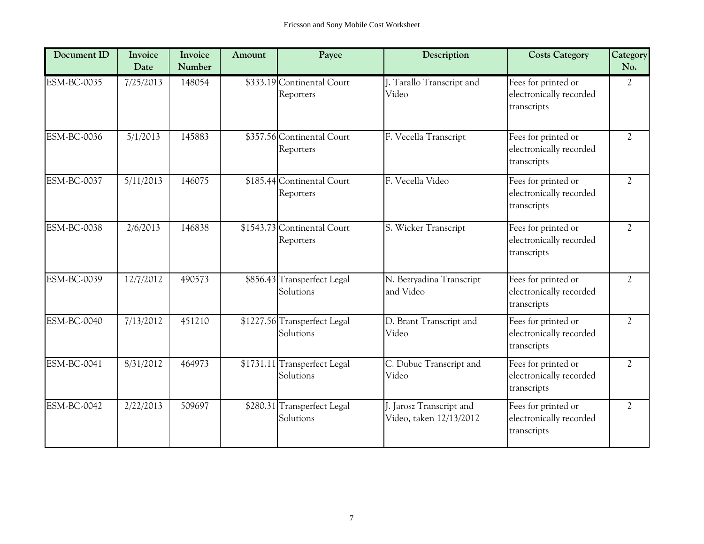| Document ID        | Invoice<br>Date | Invoice<br>Number | Amount | Payee                                     | Description                                         | <b>Costs Category</b>                                         | Category<br>No. |
|--------------------|-----------------|-------------------|--------|-------------------------------------------|-----------------------------------------------------|---------------------------------------------------------------|-----------------|
| <b>ESM-BC-0035</b> | 7/25/2013       | 148054            |        | \$333.19 Continental Court<br>Reporters   | J. Tarallo Transcript and<br>Video                  | Fees for printed or<br>electronically recorded<br>transcripts | $\overline{2}$  |
| <b>ESM-BC-0036</b> | 5/1/2013        | 145883            |        | \$357.56 Continental Court<br>Reporters   | F. Vecella Transcript                               | Fees for printed or<br>electronically recorded<br>transcripts | $\overline{2}$  |
| <b>ESM-BC-0037</b> | 5/11/2013       | 146075            |        | \$185.44 Continental Court<br>Reporters   | F. Vecella Video                                    | Fees for printed or<br>electronically recorded<br>transcripts | $\overline{2}$  |
| <b>ESM-BC-0038</b> | 2/6/2013        | 146838            |        | \$1543.73 Continental Court<br>Reporters  | S. Wicker Transcript                                | Fees for printed or<br>electronically recorded<br>transcripts | $\overline{2}$  |
| ESM-BC-0039        | 12/7/2012       | 490573            |        | \$856.43 Transperfect Legal<br>Solutions  | N. Bezryadina Transcript<br>and Video               | Fees for printed or<br>electronically recorded<br>transcripts | $\overline{2}$  |
| ESM-BC-0040        | 7/13/2012       | 451210            |        | \$1227.56 Transperfect Legal<br>Solutions | D. Brant Transcript and<br>Video                    | Fees for printed or<br>electronically recorded<br>transcripts | $\overline{2}$  |
| <b>ESM-BC-0041</b> | 8/31/2012       | 464973            |        | \$1731.11 Transperfect Legal<br>Solutions | C. Dubuc Transcript and<br>Video                    | Fees for printed or<br>electronically recorded<br>transcripts | $\overline{2}$  |
| <b>ESM-BC-0042</b> | 2/22/2013       | 509697            |        | \$280.31 Transperfect Legal<br>Solutions  | J. Jarosz Transcript and<br>Video, taken 12/13/2012 | Fees for printed or<br>electronically recorded<br>transcripts | $\overline{2}$  |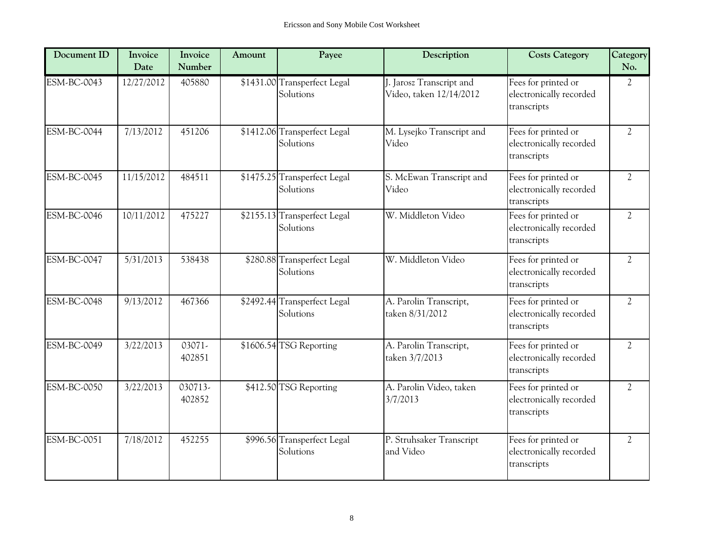| Document ID        | Invoice<br>Date | Invoice<br>Number | Amount | Payee                                     | Description                                         | <b>Costs Category</b>                                         | Category<br>No. |
|--------------------|-----------------|-------------------|--------|-------------------------------------------|-----------------------------------------------------|---------------------------------------------------------------|-----------------|
| ESM-BC-0043        | 12/27/2012      | 405880            |        | \$1431.00 Transperfect Legal<br>Solutions | J. Jarosz Transcript and<br>Video, taken 12/14/2012 | Fees for printed or<br>electronically recorded<br>transcripts | $\overline{2}$  |
| <b>ESM-BC-0044</b> | 7/13/2012       | 451206            |        | \$1412.06 Transperfect Legal<br>Solutions | M. Lysejko Transcript and<br>Video                  | Fees for printed or<br>electronically recorded<br>transcripts | $\overline{2}$  |
| <b>ESM-BC-0045</b> | 11/15/2012      | 484511            |        | \$1475.25 Transperfect Legal<br>Solutions | S. McEwan Transcript and<br>Video                   | Fees for printed or<br>electronically recorded<br>transcripts | $\overline{2}$  |
| <b>ESM-BC-0046</b> | 10/11/2012      | 475227            |        | \$2155.13 Transperfect Legal<br>Solutions | W. Middleton Video                                  | Fees for printed or<br>electronically recorded<br>transcripts | $\overline{2}$  |
| <b>ESM-BC-0047</b> | 5/31/2013       | 538438            |        | \$280.88 Transperfect Legal<br>Solutions  | W. Middleton Video                                  | Fees for printed or<br>electronically recorded<br>transcripts | $\overline{2}$  |
| <b>ESM-BC-0048</b> | 9/13/2012       | 467366            |        | \$2492.44 Transperfect Legal<br>Solutions | A. Parolin Transcript,<br>taken 8/31/2012           | Fees for printed or<br>electronically recorded<br>transcripts | $\overline{2}$  |
| <b>ESM-BC-0049</b> | 3/22/2013       | 03071-<br>402851  |        | \$1606.54 TSG Reporting                   | A. Parolin Transcript,<br>taken 3/7/2013            | Fees for printed or<br>electronically recorded<br>transcripts | $\overline{2}$  |
| <b>ESM-BC-0050</b> | 3/22/2013       | 030713-<br>402852 |        | \$412.50 TSG Reporting                    | A. Parolin Video, taken<br>3/7/2013                 | Fees for printed or<br>electronically recorded<br>transcripts | $\overline{2}$  |
| ESM-BC-0051        | 7/18/2012       | 452255            |        | \$996.56 Transperfect Legal<br>Solutions  | P. Struhsaker Transcript<br>and Video               | Fees for printed or<br>electronically recorded<br>transcripts | $\overline{2}$  |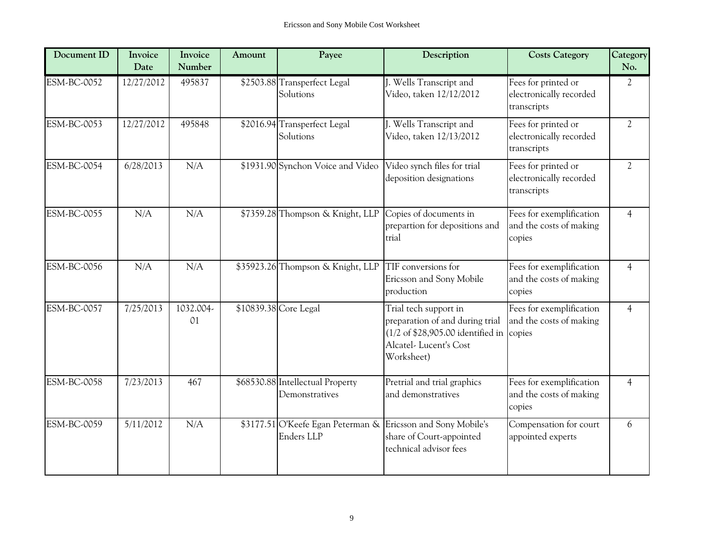| Document ID        | Invoice<br>Date | Invoice<br>Number | Amount | Payee                                              | Description                                                                                                                                                             | <b>Costs Category</b>                                         | Category<br>No. |
|--------------------|-----------------|-------------------|--------|----------------------------------------------------|-------------------------------------------------------------------------------------------------------------------------------------------------------------------------|---------------------------------------------------------------|-----------------|
| <b>ESM-BC-0052</b> | 12/27/2012      | 495837            |        | \$2503.88 Transperfect Legal<br>Solutions          | J. Wells Transcript and<br>Video, taken 12/12/2012                                                                                                                      | Fees for printed or<br>electronically recorded<br>transcripts | 2               |
| <b>ESM-BC-0053</b> | 12/27/2012      | 495848            |        | \$2016.94 Transperfect Legal<br>Solutions          | J. Wells Transcript and<br>Video, taken 12/13/2012                                                                                                                      | Fees for printed or<br>electronically recorded<br>transcripts | $\overline{2}$  |
| <b>ESM-BC-0054</b> | 6/28/2013       | N/A               |        | \$1931.90 Synchon Voice and Video                  | Video synch files for trial<br>deposition designations                                                                                                                  | Fees for printed or<br>electronically recorded<br>transcripts | $\overline{2}$  |
| <b>ESM-BC-0055</b> | N/A             | N/A               |        | \$7359.28 Thompson & Knight, LLP                   | Copies of documents in<br>prepartion for depositions and<br>trial                                                                                                       | Fees for exemplification<br>and the costs of making<br>copies | $\overline{4}$  |
| <b>ESM-BC-0056</b> | N/A             | N/A               |        | \$35923.26 Thompson & Knight, LLP                  | TIF conversions for<br>Ericsson and Sony Mobile<br>production                                                                                                           | Fees for exemplification<br>and the costs of making<br>copies | $\overline{4}$  |
| <b>ESM-BC-0057</b> | 7/25/2013       | 1032.004-<br>01   |        | \$10839.38 Core Legal                              | Trial tech support in<br>preparation of and during trial<br>$(1/2 \text{ of } $28,905.00 \text{ identified in } c \text{opies})$<br>Alcatel-Lucent's Cost<br>Worksheet) | Fees for exemplification<br>and the costs of making           | $\overline{4}$  |
| <b>ESM-BC-0058</b> | 7/23/2013       | 467               |        | \$68530.88 Intellectual Property<br>Demonstratives | Pretrial and trial graphics<br>and demonstratives                                                                                                                       | Fees for exemplification<br>and the costs of making<br>copies | $\overline{4}$  |
| <b>ESM-BC-0059</b> | 5/11/2012       | N/A               |        | \$3177.51 O'Keefe Egan Peterman &<br>Enders LLP    | Ericsson and Sony Mobile's<br>share of Court-appointed<br>technical advisor fees                                                                                        | Compensation for court<br>appointed experts                   | 6               |